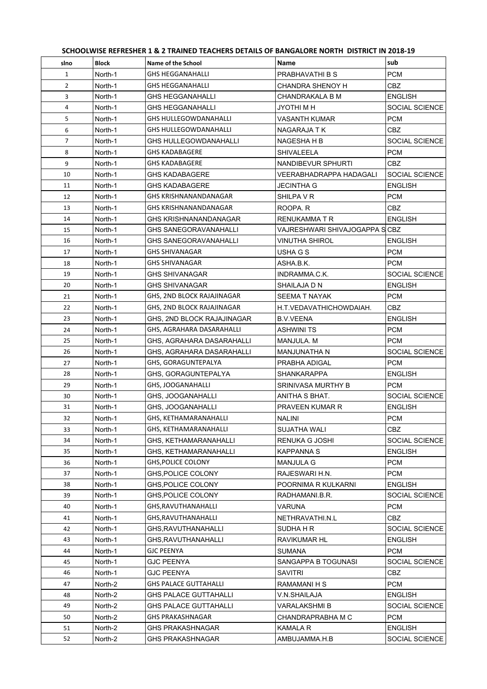|  | SCHOOLWISE REFRESHER 1 & 2 TRAINED TEACHERS DETAILS OF BANGALORE NORTH DISTRICT IN 2018-19 |  |  |
|--|--------------------------------------------------------------------------------------------|--|--|
|  |                                                                                            |  |  |

| slno         | <b>Block</b> | Name of the School           | Name                           | sub            |
|--------------|--------------|------------------------------|--------------------------------|----------------|
| $\mathbf{1}$ | North-1      | <b>GHS HEGGANAHALLI</b>      | PRABHAVATHI B S                | <b>PCM</b>     |
| 2            | North-1      | <b>GHS HEGGANAHALLI</b>      | <b>CHANDRA SHENOY H</b>        | <b>CBZ</b>     |
| 3            | North-1      | GHS HEGGANAHALLI             | CHANDRAKALA B M                | <b>ENGLISH</b> |
| 4            | North-1      | GHS HEGGANAHALLI             | JYOTHI M H                     | SOCIAL SCIENCE |
| 5            | North-1      | <b>GHS HULLEGOWDANAHALLI</b> | <b>VASANTH KUMAR</b>           | <b>PCM</b>     |
| 6            | North-1      | <b>GHS HULLEGOWDANAHALLI</b> | NAGARAJA T K                   | CBZ            |
| 7            | North-1      | GHS HULLEGOWDANAHALLI        | NAGESHA H B                    | SOCIAL SCIENCE |
| 8            | North-1      | GHS KADABAGERE               | SHIVALEELA                     | <b>PCM</b>     |
| 9            | North-1      | <b>GHS KADABAGERE</b>        | NANDIBEVUR SPHURTI             | CBZ            |
| 10           | North-1      | <b>GHS KADABAGERE</b>        | VEERABHADRAPPA HADAGALI        | SOCIAL SCIENCE |
| 11           | North-1      | GHS KADABAGERE               | JECINTHA G                     | <b>ENGLISH</b> |
| 12           | North-1      | GHS KRISHNANANDANAGAR        | SHILPA V R                     | <b>PCM</b>     |
| 13           | North-1      | GHS KRISHNANANDANAGAR        | ROOPA. R                       | CBZ            |
| 14           | North-1      | <b>GHS KRISHNANANDANAGAR</b> | <b>RENUKAMMATR</b>             | <b>ENGLISH</b> |
| 15           | North-1      | GHS SANEGORAVANAHALLI        | VAJRESHWARI SHIVAJOGAPPA S CBZ |                |
| 16           | North-1      | <b>GHS SANEGORAVANAHALLI</b> | <b>VINUTHA SHIROL</b>          | <b>ENGLISH</b> |
| 17           | North-1      | <b>GHS SHIVANAGAR</b>        | USHA G S                       | <b>PCM</b>     |
| 18           | North-1      | <b>GHS SHIVANAGAR</b>        | ASHA B.K.                      | <b>PCM</b>     |
| 19           | North-1      | <b>GHS SHIVANAGAR</b>        | INDRAMMA.C.K.                  | SOCIAL SCIENCE |
| 20           | North-1      | <b>GHS SHIVANAGAR</b>        | SHAILAJA D N                   | <b>ENGLISH</b> |
| 21           | North-1      | GHS, 2ND BLOCK RAJAJINAGAR   | SEEMA T NAYAK                  | <b>PCM</b>     |
| 22           | North-1      | GHS, 2ND BLOCK RAJAJINAGAR   | H.T.VEDAVATHICHOWDAIAH.        | CBZ.           |
| 23           | North-1      | GHS, 2ND BLOCK RAJAJINAGAR   | B.V.VEENA                      | <b>ENGLISH</b> |
| 24           | North-1      | GHS, AGRAHARA DASARAHALLI    | <b>ASHWINI TS</b>              | <b>PCM</b>     |
| 25           | North-1      | GHS, AGRAHARA DASARAHALLI    | MANJULA. M                     | <b>PCM</b>     |
| 26           | North-1      | GHS, AGRAHARA DASARAHALLI    | <b>MANJUNATHA N</b>            | SOCIAL SCIENCE |
| 27           | North-1      | GHS, GORAGUNTEPALYA          | PRABHA ADIGAL                  | <b>PCM</b>     |
| 28           | North-1      | GHS, GORAGUNTEPALYA          | <b>SHANKARAPPA</b>             | <b>ENGLISH</b> |
| 29           | North-1      | GHS, JOOGANAHALLI            | SRINIVASA MURTHY B             | <b>PCM</b>     |
| 30           | North-1      | GHS, JOOGANAHALLI            | ANITHA S BHAT.                 | SOCIAL SCIENCE |
| 31           | North-1      | GHS, JOOGANAHALLI            | <b>PRAVEEN KUMAR R</b>         | <b>ENGLISH</b> |
| 32           | North-1      | GHS, KETHAMARANAHALLI        | <b>NALINI</b>                  | <b>PCM</b>     |
| 33           | North-1      | GHS, KETHAMARANAHALLI        | <b>SUJATHA WALI</b>            | <b>CBZ</b>     |
| 34           | North-1      | GHS, KETHAMARANAHALLI        | RENUKA G JOSHI                 | SOCIAL SCIENCE |
| 35           | North-1      | GHS, KETHAMARANAHALLI        | <b>KAPPANNA S</b>              | <b>ENGLISH</b> |
| 36           | North-1      | <b>GHS, POLICE COLONY</b>    | <b>MANJULA G</b>               | <b>PCM</b>     |
| 37           | North-1      | <b>GHS, POLICE COLONY</b>    | RAJESWARI H.N.                 | <b>PCM</b>     |
| 38           | North-1      | GHS, POLICE COLONY           | POORNIMA R KULKARNI            | <b>ENGLISH</b> |
| 39           | North-1      | GHS.POLICE COLONY            | RADHAMANI.B.R.                 | SOCIAL SCIENCE |
| 40           | North-1      | GHS, RAVUTHANAHALLI          | <b>VARUNA</b>                  | <b>PCM</b>     |
| 41           | North-1      | GHS, RAVUTHANAHALLI          | NETHRAVATHI.N.L                | <b>CBZ</b>     |
| 42           | North-1      | GHS.RAVUTHANAHALLI           | SUDHA H R                      | SOCIAL SCIENCE |
| 43           | North-1      | GHS, RAVUTHANAHALLI          | <b>RAVIKUMAR HL</b>            | <b>ENGLISH</b> |
| 44           | North-1      | GJC PEENYA                   | <b>SUMANA</b>                  | <b>PCM</b>     |
| 45           | North-1      | <b>GJC PEENYA</b>            | SANGAPPA B TOGUNASI            | SOCIAL SCIENCE |
| 46           | North-1      | <b>GJC PEENYA</b>            | <b>SAVITRI</b>                 | CBZ            |
| 47           | North-2      | <b>GHS PALACE GUTTAHALLI</b> | RAMAMANI H S                   | <b>PCM</b>     |
| 48           | North-2      | <b>GHS PALACE GUTTAHALLI</b> | V.N.SHAILAJA                   | <b>ENGLISH</b> |
| 49           | North-2      | GHS PALACE GUTTAHALLI        | VARALAKSHMI B                  | SOCIAL SCIENCE |
| 50           | North-2      | GHS PRAKASHNAGAR             | CHANDRAPRABHA M C              | <b>PCM</b>     |
| 51           | North-2      | GHS PRAKASHNAGAR             | KAMALA R                       | <b>ENGLISH</b> |
| 52           | North-2      | GHS PRAKASHNAGAR             | AMBUJAMMA.H.B                  | SOCIAL SCIENCE |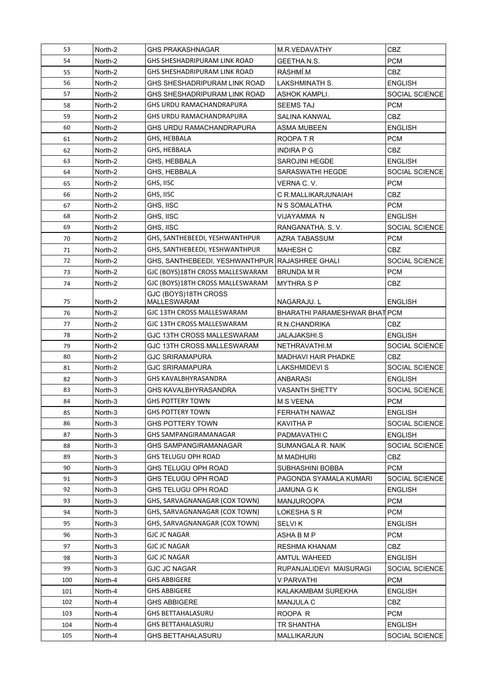| 53  | North-2 | <b>GHS PRAKASHNAGAR</b>                        | M.R.VEDAVATHY                 | <b>CBZ</b>     |
|-----|---------|------------------------------------------------|-------------------------------|----------------|
| 54  | North-2 | GHS SHESHADRIPURAM LINK ROAD                   | GEETHA.N.S.                   | <b>PCM</b>     |
| 55  | North-2 | GHS SHESHADRIPURAM LINK ROAD                   | RÁSHMÍ.M                      | <b>CBZ</b>     |
| 56  | North-2 | GHS SHESHADRIPURAM LINK ROAD                   | LAKSHMINATH S.                | <b>ENGLISH</b> |
| 57  | North-2 | GHS SHESHADRIPURAM LINK ROAD                   | ASHOK KAMPLI.                 | SOCIAL SCIENCE |
| 58  | North-2 | GHS URDU RAMACHANDRAPURA                       | <b>SEEMS TAJ</b>              | <b>PCM</b>     |
| 59  | North-2 | GHS URDU RAMACHANDRAPURA                       | SALINA KANWAL                 | <b>CBZ</b>     |
| 60  | North-2 | GHS URDU RAMACHANDRAPURA                       | ASMA MUBEEN                   | <b>ENGLISH</b> |
| 61  | North-2 | GHS. HEBBALA                                   | ROOPATR                       | <b>PCM</b>     |
| 62  | North-2 | GHS, HEBBALA                                   | <b>INDIRA P G</b>             | CBZ            |
| 63  | North-2 | <b>GHS. HEBBALA</b>                            | <b>SAROJINI HEGDE</b>         | <b>ENGLISH</b> |
| 64  | North-2 | GHS, HEBBALA                                   | SARASWATHI HEGDE              | SOCIAL SCIENCE |
| 65  | North-2 | GHS, IISC                                      | VERNA C. V.                   | <b>PCM</b>     |
| 66  | North-2 | GHS, IISC                                      | C R.MALLIKARJUNAIAH           | CBZ            |
| 67  | North-2 | GHS, IISC                                      | N S SOMALATHA                 | <b>PCM</b>     |
| 68  | North-2 | GHS, IISC                                      | VIJAYAMMA N                   | <b>ENGLISH</b> |
| 69  | North-2 | GHS, IISC                                      | RANGANATHA, S.V.              | SOCIAL SCIENCE |
| 70  | North-2 | GHS, SANTHEBEEDI, YESHWANTHPUR                 | <b>AZRA TABASSUM</b>          | <b>PCM</b>     |
| 71  | North-2 | GHS, SANTHEBEEDI, YESHWANTHPUR                 | <b>MAHESH C</b>               | <b>CBZ</b>     |
| 72  | North-2 | GHS, SANTHEBEEDI, YESHWANTHPUR RAJASHREE GHALI |                               | SOCIAL SCIENCE |
| 73  | North-2 | GJC (BOYS)18TH CROSS MALLESWARAM               | <b>BRUNDA M R</b>             | <b>PCM</b>     |
|     |         | GJC (BOYS)18TH CROSS MALLESWARAM               |                               | <b>CBZ</b>     |
| 74  | North-2 | GJC (BOYS)18TH CROSS                           | <b>MYTHRA S P</b>             |                |
| 75  | North-2 | <b>MALLESWARAM</b>                             | NAGARAJU. L                   | <b>ENGLISH</b> |
| 76  | North-2 | GJC 13TH CROSS MALLESWARAM                     | BHARATHI PARAMESHWAR BHAT PCM |                |
| 77  | North-2 | GJC 13TH CROSS MALLESWARAM                     | R.N.CHANDRIKA                 | CBZ            |
| 78  | North-2 | GJC 13TH CROSS MALLESWARAM                     | JALAJAKSHI.S                  | <b>ENGLISH</b> |
| 79  | North-2 | GJC 13TH CROSS MALLESWARAM                     | NETHRAVATHI.M                 | SOCIAL SCIENCE |
| 80  | North-2 | <b>GJC SRIRAMAPURA</b>                         | <b>MADHAVI HAIR PHADKE</b>    | <b>CBZ</b>     |
| 81  | North-2 | <b>GJC SRIRAMAPURA</b>                         | LAKSHMIDEVI S                 | SOCIAL SCIENCE |
| 82  | North-3 | GHS KAVALBHYRASANDRA                           | <b>ANBARASI</b>               | <b>ENGLISH</b> |
| 83  | North-3 | <b>GHS KAVALBHYRASANDRA</b>                    | <b>VASANTH SHETTY</b>         | SOCIAL SCIENCE |
| 84  | North-3 | <b>GHS POTTERY TOWN</b>                        | M S VEENA                     | <b>PCM</b>     |
| 85  | North-3 | <b>GHS POTTERY TOWN</b>                        | FERHATH NAWAZ                 | <b>ENGLISH</b> |
| 86  | North-3 | <b>GHS POTTERY TOWN</b>                        | KAVITHA P                     | SOCIAL SCIENCE |
| 87  | North-3 | <b>GHS SAMPANGIRAMANAGAR</b>                   | PADMAVATHI C                  | <b>ENGLISH</b> |
| 88  | North-3 | <b>GHS SAMPANGIRAMANAGAR</b>                   | SUMANGALA R. NAIK             | SOCIAL SCIENCE |
| 89  | North-3 | GHS TELUGU OPH ROAD                            | M MADHURI                     | CBZ            |
| 90  | North-3 | GHS TELUGU OPH ROAD                            | <b>SUBHASHINI BOBBA</b>       | <b>PCM</b>     |
| 91  | North-3 | GHS TELUGU OPH ROAD                            | PAGONDA SYAMALA KUMARI        | SOCIAL SCIENCE |
| 92  | North-3 | GHS TELUGU OPH ROAD                            | JAMUNA G K                    | <b>ENGLISH</b> |
| 93  | North-3 | GHS, SARVAGNANAGAR (COX TOWN)                  | MANJUROOPA                    | <b>PCM</b>     |
| 94  | North-3 | GHS, SARVAGNANAGAR (COX TOWN)                  | LOKESHA S R                   | <b>PCM</b>     |
| 95  | North-3 | GHS, SARVAGNANAGAR (COX TOWN)                  | SELVI K                       | <b>ENGLISH</b> |
| 96  | North-3 | <b>GJC JC NAGAR</b>                            | ASHA B M P                    | <b>PCM</b>     |
| 97  | North-3 | GJC JC NAGAR                                   | RESHMA KHANAM                 | <b>CBZ</b>     |
|     |         |                                                |                               |                |
| 98  | North-3 | <b>GJC JC NAGAR</b>                            | AMTUL WAHEED                  | <b>ENGLISH</b> |
| 99  | North-3 | <b>GJC JC NAGAR</b>                            | RUPANJALIDEVI MAISURAGI       | SOCIAL SCIENCE |
| 100 | North-4 | GHS ABBIGERE                                   | V PARVATHI                    | <b>PCM</b>     |
| 101 | North-4 | <b>GHS ABBIGERE</b>                            | KALAKAMBAM SUREKHA            | <b>ENGLISH</b> |
| 102 | North-4 | <b>GHS ABBIGERE</b>                            | <b>MANJULA C</b>              | <b>CBZ</b>     |
| 103 | North-4 | <b>GHS BETTAHALASURU</b>                       | ROOPA R                       | <b>PCM</b>     |
| 104 | North-4 | <b>GHS BETTAHALASURU</b>                       | TR SHANTHA                    | <b>ENGLISH</b> |
| 105 | North-4 | <b>GHS BETTAHALASURU</b>                       | MALLIKARJUN                   | SOCIAL SCIENCE |